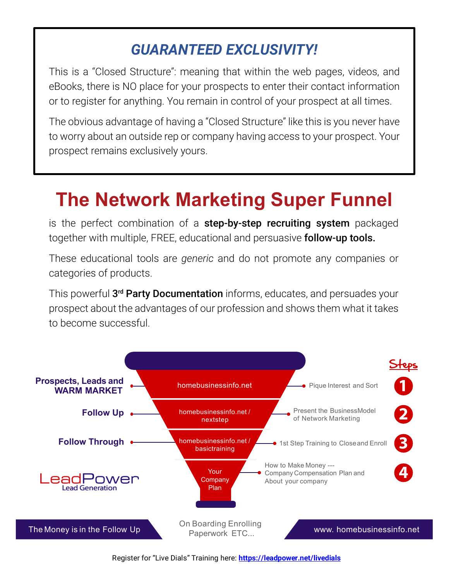### *GUARANTEED EXCLUSIVITY!*

This is a "Closed Structure": meaning that within the web pages, videos, and eBooks, there is NO place for your prospects to enter their contact information or to register for anything. You remain in control of your prospect at all times.

The obvious advantage of having a "Closed Structure" like this is you never have to worry about an outside rep or company having access to your prospect. Your prospect remains exclusively yours.

## **The Network Marketing Super Funnel**

is the perfect combination of a step-by-step recruiting system packaged together with multiple, FREE, educational and persuasive **follow-up tools.** 

These educational tools are *generic* and do not promote any companies or categories of products.

This powerful **3<sup>rd</sup> Party Documentation** informs, educates, and persuades your prospect about the advantages of our profession and shows them what it takes to become successful.



Register for "Live Dials" Training here: **<https://leadpower.net/livedials>**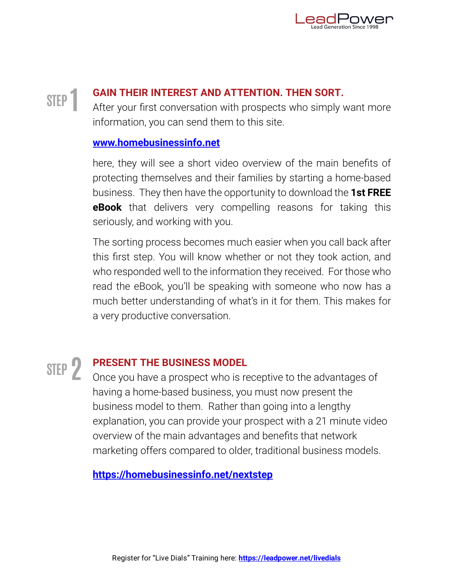

### **STEP 1**

### **GAIN THEIR INTEREST AND ATTENTION. THEN SORT.**

After your first conversation with prospects who simply want more information, you can send them to this site.

#### **[www.homebusinessinfo.net](https://www.homebusinessinfo.net)**

here, they will see a short video overview of the main benefits of protecting themselves and their families by starting a home-based business. They then have the opportunity to download the **1st FREE eBook** that delivers very compelling reasons for taking this seriously, and working with you.

The sorting process becomes much easier when you call back after this first step. You will know whether or not they took action, and who responded well to the information they received. For those who read the eBook, you'll be speaking with someone who now has a much better understanding of what's in it for them. This makes for a very productive conversation.

# **STEP2**

### **PRESENT THE BUSINESS MODEL**

Once you have a prospect who is receptive to the advantages of having a home-based business, you must now present the business model to them. Rather than going into a lengthy explanation, you can provide your prospect with a 21 minute video overview of the main advantages and benefits that network marketing offers compared to older, traditional business models.

**<https://homebusinessinfo.net/nextstep>**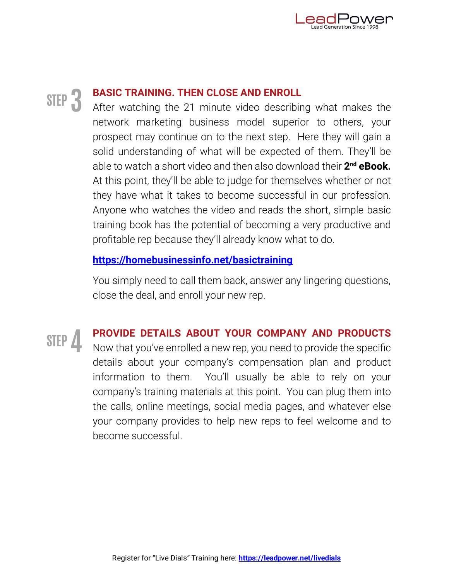

### **STEP3**

### **BASIC TRAINING. THEN CLOSE AND ENROLL**

After watching the 21 minute video describing what makes the network marketing business model superior to others, your prospect may continue on to the next step. Here they will gain a solid understanding of what will be expected of them. They'll be able to watch a short video and then also download their **2 nd eBook.** At this point, they'll be able to judge for themselves whether or not they have what it takes to become successful in our profession. Anyone who watches the video and reads the short, simple basic training book has the potential of becoming a very productive and profitable rep because they'll already know what to do.

#### **<https://homebusinessinfo.net/basictraining>**

You simply need to call them back, answer any lingering questions, close the deal, and enroll your new rep.

**STEP4**

### **PROVIDE DETAILS ABOUT YOUR COMPANY AND PRODUCTS**

Now that you've enrolled a new rep, you need to provide the specific details about your company's compensation plan and product information to them. You'll usually be able to rely on your company's training materials at this point. You can plug them into the calls, online meetings, social media pages, and whatever else your company provides to help new reps to feel welcome and to become successful.